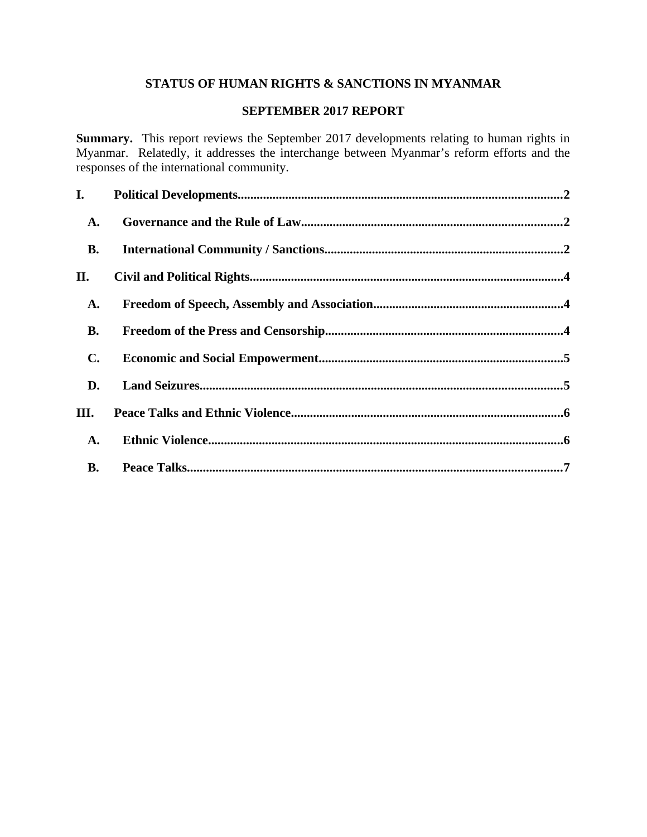# **STATUS OF HUMAN RIGHTS & SANCTIONS IN MYANMAR**

## **SEPTEMBER 2017 REPORT**

**Summary.** This report reviews the September 2017 developments relating to human rights in Myanmar. Relatedly, it addresses the interchange between Myanmar's reform efforts and the responses of the international community.

| I.             |  |
|----------------|--|
| A.             |  |
| <b>B.</b>      |  |
| II.            |  |
| A.             |  |
| <b>B.</b>      |  |
| $\mathbf{C}$ . |  |
| D.             |  |
| III.           |  |
| A.             |  |
| <b>B.</b>      |  |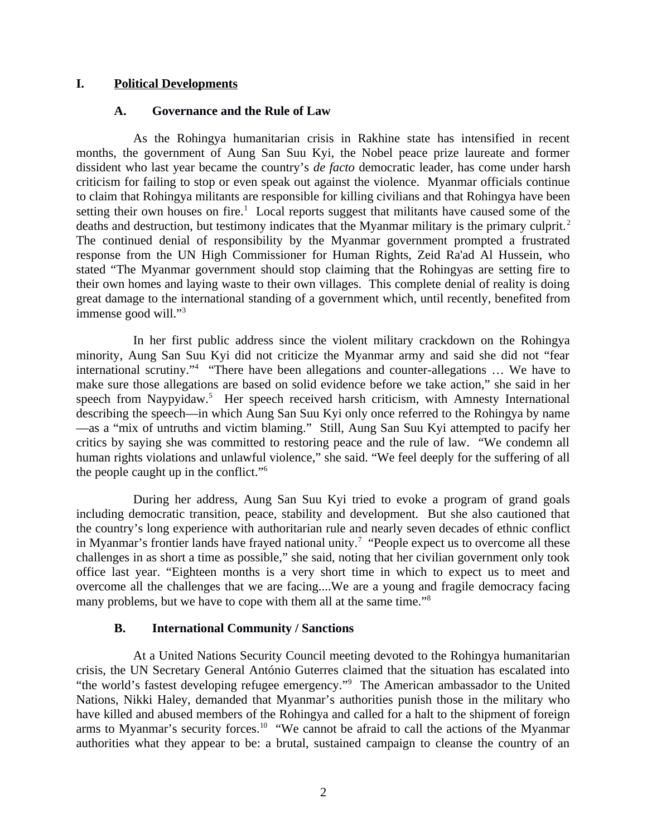#### **I. Political Developments**

#### <span id="page-1-2"></span><span id="page-1-0"></span>**A. Governance and the Rule of Law**

As the Rohingya humanitarian crisis in Rakhine state has intensified in recent months, the government of Aung San Suu Kyi, the Nobel peace prize laureate and former dissident who last year became the country's *de facto* democratic leader, has come under harsh criticism for failing to stop or even speak out against the violence. Myanmar officials continue to claim that Rohingya militants are responsible for killing civilians and that Rohingya have been setting their own houses on fire.<sup>1</sup> Local reports suggest that militants have caused some of the deaths and destruction, but testimony indicates that the Myanmar military is the primary culprit.<sup>2</sup> The continued denial of responsibility by the Myanmar government prompted a frustrated response from the UN High Commissioner for Human Rights, Zeid Ra'ad Al Hussein, who stated "The Myanmar government should stop claiming that the Rohingyas are setting fire to their own homes and laying waste to their own villages. This complete denial of reality is doing great damage to the international standing of a government which, until recently, benefited from immense good will."<sup>3</sup>

In her first public address since the violent military crackdown on the Rohingya minority, Aung San Suu Kyi did not criticize the Myanmar army and said she did not "fear international scrutiny."<sup>4</sup> "There have been allegations and counter-allegations ... We have to make sure those allegations are based on solid evidence before we take action," she said in her speech from Naypyidaw.<sup>5</sup> Her speech received harsh criticism, with Amnesty International describing the speech—in which Aung San Suu Kyi only once referred to the Rohingya by name —as a "mix of untruths and victim blaming." Still, Aung San Suu Kyi attempted to pacify her critics by saying she was committed to restoring peace and the rule of law. "We condemn all human rights violations and unlawful violence," she said. "We feel deeply for the suffering of all the people caught up in the conflict."<sup>6</sup>

During her address, Aung San Suu Kyi tried to evoke a program of grand goals including democratic transition, peace, stability and development. But she also cautioned that the country's long experience with authoritarian rule and nearly seven decades of ethnic conflict in Myanmar's frontier lands have frayed national unity.<sup>7</sup> "People expect us to overcome all these challenges in as short a time as possible," she said, noting that her civilian government only took office last year. "Eighteen months is a very short time in which to expect us to meet and overcome all the challenges that we are facing....We are a young and fragile democracy facing many problems, but we have to cope with them all at the same time."<sup>8</sup>

#### <span id="page-1-1"></span>**B. International Community / Sanctions**

At a United Nations Security Council meeting devoted to the Rohingya humanitarian crisis, the UN Secretary General António Guterres claimed that the situation has escalated into "the world's fastest developing refugee emergency."<sup>9</sup> The American ambassador to the United Nations, Nikki Haley, demanded that Myanmar's authorities punish those in the military who have killed and abused members of the Rohingya and called for a halt to the shipment of foreign arms to Myanmar's security forces.<sup>10</sup> "We cannot be afraid to call the actions of the Myanmar authorities what they appear to be: a brutal, sustained campaign to cleanse the country of an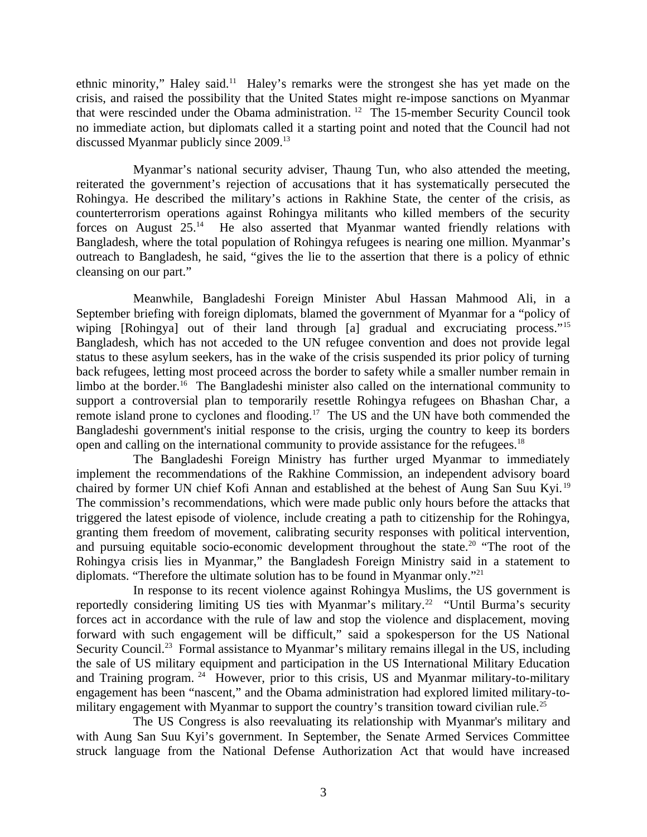ethnic minority," Haley said.<sup>11</sup> Haley's remarks were the strongest she has yet made on the crisis, and raised the possibility that the United States might re-impose sanctions on Myanmar that were rescinded under the Obama administration.<sup>12</sup> The 15-member Security Council took no immediate action, but diplomats called it a starting point and noted that the Council had not discussed Myanmar publicly since 2009.<sup>13</sup>

Myanmar's national security adviser, Thaung Tun, who also attended the meeting, reiterated the government's rejection of accusations that it has systematically persecuted the Rohingya. He described the military's actions in Rakhine State, the center of the crisis, as counterterrorism operations against Rohingya militants who killed members of the security forces on August  $25.^{14}$  He also asserted that Myanmar wanted friendly relations with Bangladesh, where the total population of Rohingya refugees is nearing one million. Myanmar's outreach to Bangladesh, he said, "gives the lie to the assertion that there is a policy of ethnic cleansing on our part."

Meanwhile, Bangladeshi Foreign Minister Abul Hassan Mahmood Ali, in a September briefing with foreign diplomats, blamed the government of Myanmar for a "policy of wiping [Rohingya] out of their land through [a] gradual and excruciating process."<sup>15</sup> Bangladesh, which has not acceded to the UN refugee convention and does not provide legal status to these asylum seekers, has in the wake of the crisis suspended its prior policy of turning back refugees, letting most proceed across the border to safety while a smaller number remain in limbo at the border.<sup>16</sup> The Bangladeshi minister also called on the international community to support a controversial plan to temporarily resettle Rohingya refugees on Bhashan Char, a remote island prone to cyclones and flooding.<sup>17</sup> The US and the UN have both commended the Bangladeshi government's initial response to the crisis, urging the country to keep its borders open and calling on the international community to provide assistance for the refugees.<sup>18</sup>

The Bangladeshi Foreign Ministry has further urged Myanmar to immediately implement the recommendations of the Rakhine Commission, an independent advisory board chaired by former UN chief Kofi Annan and established at the behest of Aung San Suu Kyi. <sup>19</sup> The commission's recommendations, which were made public only hours before the attacks that triggered the latest episode of violence, include creating a path to citizenship for the Rohingya, granting them freedom of movement, calibrating security responses with political intervention, and pursuing equitable socio-economic development throughout the state.<sup>20</sup> "The root of the Rohingya crisis lies in Myanmar," the Bangladesh Foreign Ministry said in a statement to diplomats. "Therefore the ultimate solution has to be found in Myanmar only."<sup>21</sup>

In response to its recent violence against Rohingya Muslims, the US government is reportedly considering limiting US ties with Myanmar's military.<sup>22</sup> "Until Burma's security forces act in accordance with the rule of law and stop the violence and displacement, moving forward with such engagement will be difficult," said a spokesperson for the US National Security Council.<sup>23</sup> Formal assistance to Myanmar's military remains illegal in the US, including the sale of US military equipment and participation in the US International Military Education and Training program.  $24$  However, prior to this crisis, US and Myanmar military-to-military engagement has been "nascent," and the Obama administration had explored limited military-tomilitary engagement with Myanmar to support the country's transition toward civilian rule.<sup>25</sup>

The US Congress is also reevaluating its relationship with Myanmar's military and with Aung San Suu Kyi's government. In September, the Senate Armed Services Committee struck language from the National Defense Authorization Act that would have increased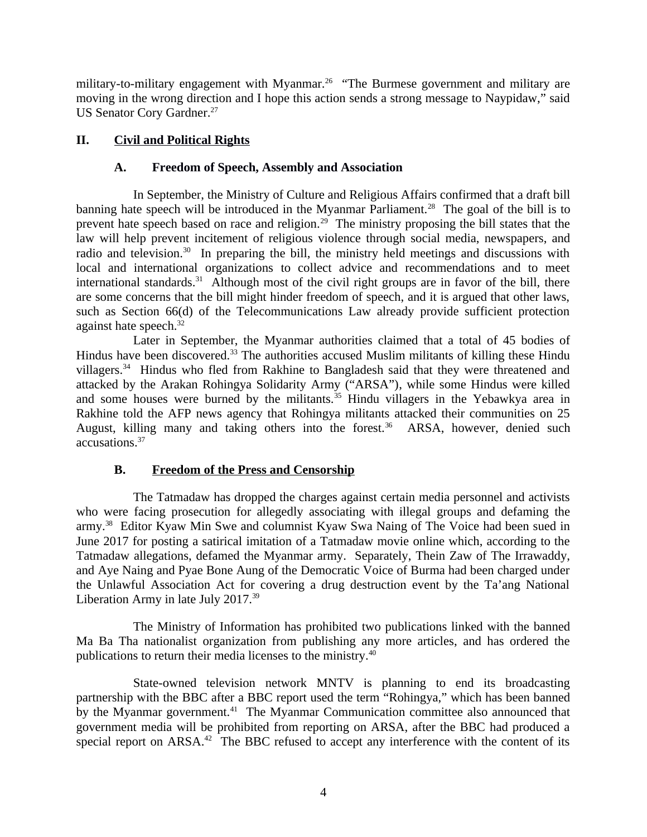military-to-military engagement with Myanmar.<sup>26</sup> "The Burmese government and military are moving in the wrong direction and I hope this action sends a strong message to Naypidaw," said US Senator Cory Gardner.<sup>27</sup>

# **II. Civil and Political Rights**

# <span id="page-3-2"></span><span id="page-3-1"></span>**A. Freedom of Speech, Assembly and Association**

In September, the Ministry of Culture and Religious Affairs confirmed that a draft bill banning hate speech will be introduced in the Myanmar Parliament.<sup>28</sup> The goal of the bill is to prevent hate speech based on race and religion.<sup>29</sup> The ministry proposing the bill states that the law will help prevent incitement of religious violence through social media, newspapers, and radio and television.<sup>30</sup> In preparing the bill, the ministry held meetings and discussions with local and international organizations to collect advice and recommendations and to meet international standards. $31$  Although most of the civil right groups are in favor of the bill, there are some concerns that the bill might hinder freedom of speech, and it is argued that other laws, such as Section 66(d) of the Telecommunications Law already provide sufficient protection against hate speech.<sup>32</sup>

Later in September, the Myanmar authorities claimed that a total of 45 bodies of Hindus have been discovered.<sup>33</sup> The authorities accused Muslim militants of killing these Hindu villagers.<sup>34</sup> Hindus who fled from Rakhine to Bangladesh said that they were threatened and attacked by the Arakan Rohingya Solidarity Army ("ARSA"), while some Hindus were killed and some houses were burned by the militants. $35$  Hindu villagers in the Yebawkya area in Rakhine told the AFP news agency that Rohingya militants attacked their communities on 25 August, killing many and taking others into the forest. $36$  ARSA, however, denied such accusations.<sup>37</sup>

# <span id="page-3-0"></span>**B. Freedom of the Press and Censorship**

The Tatmadaw has dropped the charges against certain media personnel and activists who were facing prosecution for allegedly associating with illegal groups and defaming the army.<sup>38</sup> Editor Kyaw Min Swe and columnist Kyaw Swa Naing of The Voice had been sued in June 2017 for posting a satirical imitation of a Tatmadaw movie online which, according to the Tatmadaw allegations, defamed the Myanmar army. Separately, Thein Zaw of The Irrawaddy, and Aye Naing and Pyae Bone Aung of the Democratic Voice of Burma had been charged under the Unlawful Association Act for covering a drug destruction event by the Ta'ang National Liberation Army in late July 2017.<sup>39</sup>

The Ministry of Information has prohibited two publications linked with the banned Ma Ba Tha nationalist organization from publishing any more articles, and has ordered the publications to return their media licenses to the ministry.<sup>40</sup>

State-owned television network MNTV is planning to end its broadcasting partnership with the BBC after a BBC report used the term "Rohingya," which has been banned by the Myanmar government.<sup>41</sup> The Myanmar Communication committee also announced that government media will be prohibited from reporting on ARSA, after the BBC had produced a special report on  $ARSA.<sup>42</sup>$  The BBC refused to accept any interference with the content of its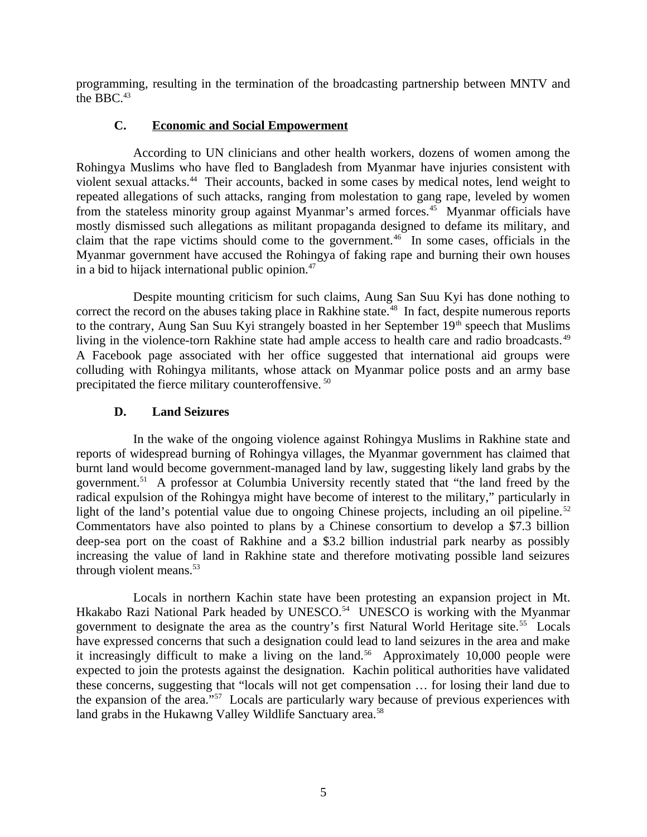programming, resulting in the termination of the broadcasting partnership between MNTV and the BBC.<sup>43</sup>

## <span id="page-4-1"></span>**C. Economic and Social Empowerment**

According to UN clinicians and other health workers, dozens of women among the Rohingya Muslims who have fled to Bangladesh from Myanmar have injuries consistent with violent sexual attacks.<sup>44</sup> Their accounts, backed in some cases by medical notes, lend weight to repeated allegations of such attacks, ranging from molestation to gang rape, leveled by women from the stateless minority group against Myanmar's armed forces.<sup>45</sup> Myanmar officials have mostly dismissed such allegations as militant propaganda designed to defame its military, and claim that the rape victims should come to the government.<sup>46</sup> In some cases, officials in the Myanmar government have accused the Rohingya of faking rape and burning their own houses in a bid to hijack international public opinion.<sup>47</sup>

Despite mounting criticism for such claims, Aung San Suu Kyi has done nothing to correct the record on the abuses taking place in Rakhine state.<sup>48</sup> In fact, despite numerous reports to the contrary, Aung San Suu Kyi strangely boasted in her September  $19<sup>th</sup>$  speech that Muslims living in the violence-torn Rakhine state had ample access to health care and radio broadcasts.<sup>49</sup> A Facebook page associated with her office suggested that international aid groups were colluding with Rohingya militants, whose attack on Myanmar police posts and an army base precipitated the fierce military counteroffensive. <sup>50</sup>

## <span id="page-4-0"></span>**D. Land Seizures**

In the wake of the ongoing violence against Rohingya Muslims in Rakhine state and reports of widespread burning of Rohingya villages, the Myanmar government has claimed that burnt land would become government-managed land by law, suggesting likely land grabs by the government.<sup>51</sup> A professor at Columbia University recently stated that "the land freed by the radical expulsion of the Rohingya might have become of interest to the military," particularly in light of the land's potential value due to ongoing Chinese projects, including an oil pipeline.<sup>52</sup> Commentators have also pointed to plans by a Chinese consortium to develop a \$7.3 billion deep-sea port on the coast of Rakhine and a \$3.2 billion industrial park nearby as possibly increasing the value of land in Rakhine state and therefore motivating possible land seizures through violent means.<sup>53</sup>

Locals in northern Kachin state have been protesting an expansion project in Mt. Hkakabo Razi National Park headed by UNESCO.<sup>54</sup> UNESCO is working with the Myanmar government to designate the area as the country's first Natural World Heritage site.<sup>55</sup> Locals have expressed concerns that such a designation could lead to land seizures in the area and make it increasingly difficult to make a living on the land.<sup>56</sup> Approximately 10,000 people were expected to join the protests against the designation. Kachin political authorities have validated these concerns, suggesting that "locals will not get compensation … for losing their land due to the expansion of the area."<sup>57</sup> Locals are particularly wary because of previous experiences with land grabs in the Hukawng Valley Wildlife Sanctuary area.<sup>58</sup>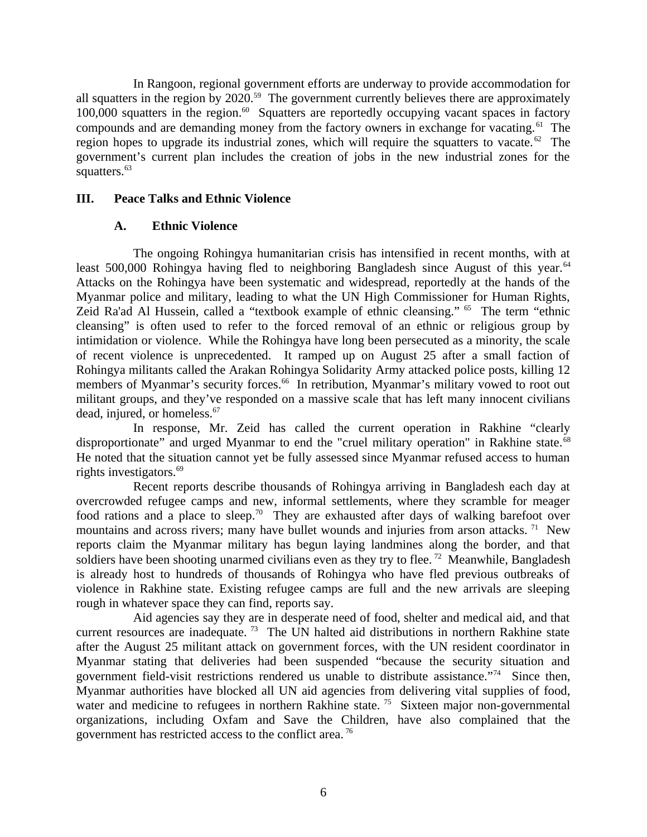In Rangoon, regional government efforts are underway to provide accommodation for all squatters in the region by 2020.<sup>59</sup> The government currently believes there are approximately 100,000 squatters in the region. $60\degree$  Squatters are reportedly occupying vacant spaces in factory compounds and are demanding money from the factory owners in exchange for vacating.<sup>61</sup> The region hopes to upgrade its industrial zones, which will require the squatters to vacate.<sup> $62$ </sup> The government's current plan includes the creation of jobs in the new industrial zones for the squatters.<sup>63</sup>

## **III. Peace Talks and Ethnic Violence**

## <span id="page-5-1"></span><span id="page-5-0"></span>**A. Ethnic Violence**

The ongoing Rohingya humanitarian crisis has intensified in recent months, with at least 500,000 Rohingya having fled to neighboring Bangladesh since August of this year.<sup>64</sup> Attacks on the Rohingya have been systematic and widespread, reportedly at the hands of the Myanmar police and military, leading to what the UN High Commissioner for Human Rights, Zeid Ra'ad Al Hussein, called a "textbook example of ethnic cleansing." <sup>65</sup> The term "ethnic cleansing" is often used to refer to the forced removal of an ethnic or religious group by intimidation or violence. While the Rohingya have long been persecuted as a minority, the scale of recent violence is unprecedented. It ramped up on August 25 after a small faction of Rohingya militants called the Arakan Rohingya Solidarity Army attacked police posts, killing 12 members of Myanmar's security forces.<sup>66</sup> In retribution, Myanmar's military vowed to root out militant groups, and they've responded on a massive scale that has left many innocent civilians dead, injured, or homeless.<sup>67</sup>

In response, Mr. Zeid has called the current operation in Rakhine "clearly disproportionate" and urged Myanmar to end the "cruel military operation" in Rakhine state.<sup>68</sup> He noted that the situation cannot yet be fully assessed since Myanmar refused access to human rights investigators.<sup>69</sup>

Recent reports describe thousands of Rohingya arriving in Bangladesh each day at overcrowded refugee camps and new, informal settlements, where they scramble for meager food rations and a place to sleep.<sup>70</sup> They are exhausted after days of walking barefoot over mountains and across rivers; many have bullet wounds and injuries from arson attacks.  $71$  New reports claim the Myanmar military has begun laying landmines along the border, and that soldiers have been shooting unarmed civilians even as they try to flee.<sup>72</sup> Meanwhile, Bangladesh is already host to hundreds of thousands of Rohingya who have fled previous outbreaks of violence in Rakhine state. Existing refugee camps are full and the new arrivals are sleeping rough in whatever space they can find, reports say.

Aid agencies say they are in desperate need of food, shelter and medical aid, and that current resources are inadequate.<sup>73</sup> The UN halted aid distributions in northern Rakhine state after the August 25 militant attack on government forces, with the UN resident coordinator in Myanmar stating that deliveries had been suspended "because the security situation and government field-visit restrictions rendered us unable to distribute assistance."<sup>74</sup> Since then, Myanmar authorities have blocked all UN aid agencies from delivering vital supplies of food, water and medicine to refugees in northern Rakhine state.<sup>75</sup> Sixteen major non-governmental organizations, including Oxfam and Save the Children, have also complained that the government has restricted access to the conflict area. <sup>76</sup>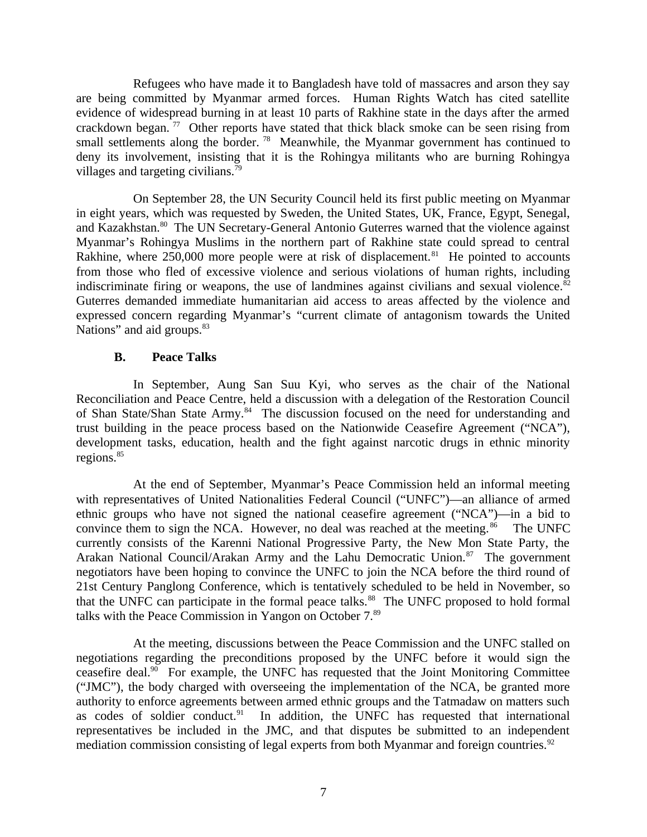Refugees who have made it to Bangladesh have told of massacres and arson they say are being committed by Myanmar armed forces. Human Rights Watch has cited satellite evidence of widespread burning in at least 10 parts of Rakhine state in the days after the armed crackdown began.<sup>77</sup> Other reports have stated that thick black smoke can be seen rising from small settlements along the border.<sup>78</sup> Meanwhile, the Myanmar government has continued to deny its involvement, insisting that it is the Rohingya militants who are burning Rohingya villages and targeting civilians.<sup>79</sup>

On September 28, the UN Security Council held its first public meeting on Myanmar in eight years, which was requested by Sweden, the United States, UK, France, Egypt, Senegal, and Kazakhstan.<sup>80</sup> The UN Secretary-General Antonio Guterres warned that the violence against Myanmar's Rohingya Muslims in the northern part of Rakhine state could spread to central Rakhine, where  $250,000$  more people were at risk of displacement.<sup>81</sup> He pointed to accounts from those who fled of excessive violence and serious violations of human rights, including indiscriminate firing or weapons, the use of landmines against civilians and sexual violence. $82$ Guterres demanded immediate humanitarian aid access to areas affected by the violence and expressed concern regarding Myanmar's "current climate of antagonism towards the United Nations" and aid groups.<sup>83</sup>

#### <span id="page-6-0"></span>**B. Peace Talks**

In September, Aung San Suu Kyi, who serves as the chair of the National Reconciliation and Peace Centre, held a discussion with a delegation of the Restoration Council of Shan State/Shan State Army.<sup>84</sup> The discussion focused on the need for understanding and trust building in the peace process based on the Nationwide Ceasefire Agreement ("NCA"), development tasks, education, health and the fight against narcotic drugs in ethnic minority regions.<sup>85</sup>

At the end of September, Myanmar's Peace Commission held an informal meeting with representatives of United Nationalities Federal Council ("UNFC")—an alliance of armed ethnic groups who have not signed the national ceasefire agreement ("NCA")—in a bid to convince them to sign the NCA. However, no deal was reached at the meeting. $^{86}$  The UNFC currently consists of the Karenni National Progressive Party, the New Mon State Party, the Arakan National Council/Arakan Army and the Lahu Democratic Union.<sup>87</sup> The government negotiators have been hoping to convince the UNFC to join the NCA before the third round of 21st Century Panglong Conference, which is tentatively scheduled to be held in November, so that the UNFC can participate in the formal peace talks. $88$  The UNFC proposed to hold formal talks with the Peace Commission in Yangon on October 7.<sup>89</sup>

At the meeting, discussions between the Peace Commission and the UNFC stalled on negotiations regarding the preconditions proposed by the UNFC before it would sign the ceasefire deal.<sup>90</sup> For example, the UNFC has requested that the Joint Monitoring Committee ("JMC"), the body charged with overseeing the implementation of the NCA, be granted more authority to enforce agreements between armed ethnic groups and the Tatmadaw on matters such as codes of soldier conduct. $91$  In addition, the UNFC has requested that international representatives be included in the JMC, and that disputes be submitted to an independent mediation commission consisting of legal experts from both Myanmar and foreign countries.<sup>92</sup>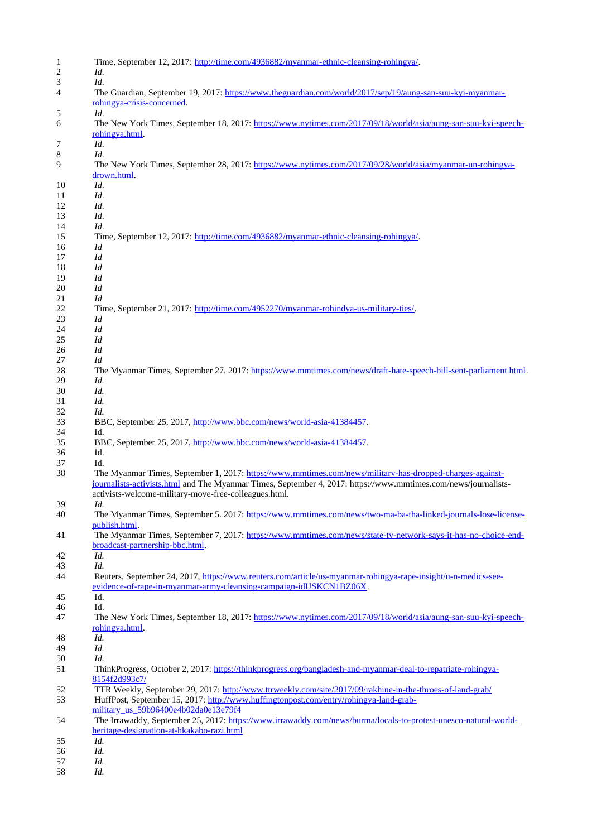| $\mathbf{1}$ | Time, September 12, 2017: http://time.com/4936882/myanmar-ethnic-cleansing-rohingya/.                            |
|--------------|------------------------------------------------------------------------------------------------------------------|
| 2            | Id.                                                                                                              |
| 3            | Id.                                                                                                              |
| 4            | The Guardian, September 19, 2017: https://www.theguardian.com/world/2017/sep/19/aung-san-suu-kvi-myanmar-        |
|              | rohingya-crisis-concerned.                                                                                       |
| 5            | Id.                                                                                                              |
| 6            | The New York Times, September 18, 2017: https://www.nytimes.com/2017/09/18/world/asia/aung-san-suu-kvi-speech-   |
|              | rohingya.html.                                                                                                   |
| 7            | Id.                                                                                                              |
| 8            | Id.                                                                                                              |
|              |                                                                                                                  |
| 9            | The New York Times, September 28, 2017: https://www.nytimes.com/2017/09/28/world/asia/myanmar-un-rohingya-       |
|              | drown.html.                                                                                                      |
| 10           | Id.                                                                                                              |
| 11           | Id.                                                                                                              |
| 12           | Id.                                                                                                              |
| 13           | Id.                                                                                                              |
| 14           | Id.                                                                                                              |
| 15           | Time, September 12, 2017: http://time.com/4936882/myanmar-ethnic-cleansing-rohingya/.                            |
| 16           | Id                                                                                                               |
| 17           | Id                                                                                                               |
| 18           | Id                                                                                                               |
| 19           | Id                                                                                                               |
| 20           | Id                                                                                                               |
| 21           | Id                                                                                                               |
| 22           | Time, September 21, 2017: http://time.com/4952270/myanmar-rohindya-us-military-ties/.                            |
| 23           | Id                                                                                                               |
| 24           | Id                                                                                                               |
| 25           | Id                                                                                                               |
|              | Id                                                                                                               |
| 26<br>27     | Id                                                                                                               |
|              |                                                                                                                  |
| 28           | The Myanmar Times, September 27, 2017: https://www.mmtimes.com/news/draft-hate-speech-bill-sent-parliament.html. |
| 29           | Id.                                                                                                              |
| 30           | Id.                                                                                                              |
| 31           | Id.                                                                                                              |
| 32           | Id.                                                                                                              |
| 33           | BBC, September 25, 2017, http://www.bbc.com/news/world-asia-41384457.                                            |
| 34           | Id.                                                                                                              |
| 35           | BBC, September 25, 2017, http://www.bbc.com/news/world-asia-41384457.                                            |
| 36           | Id.                                                                                                              |
| 37           | Id.                                                                                                              |
| 38           | The Myanmar Times, September 1, 2017: https://www.mmtimes.com/news/military-has-dropped-charges-against-         |
|              | journalists-activists.html and The Myanmar Times, September 4, 2017: https://www.mmtimes.com/news/journalists-   |
|              | activists-welcome-military-move-free-colleagues.html.                                                            |
| 39           | Id.                                                                                                              |
| 40           | The Myanmar Times, September 5. 2017: https://www.mmtimes.com/news/two-ma-ba-tha-linked-journals-lose-license-   |
|              | publish.html.                                                                                                    |
| 41           | The Myanmar Times, September 7, 2017: https://www.mmtimes.com/news/state-tv-network-says-it-has-no-choice-end-   |
|              | broadcast-partnership-bbc.html.                                                                                  |
| 42           | Id.                                                                                                              |
| 43           | Id.                                                                                                              |
| 44           | Reuters, September 24, 2017, https://www.reuters.com/article/us-myanmar-rohingya-rape-insight/u-n-medics-see-    |
|              | evidence-of-rape-in-myanmar-army-cleansing-campaign-idUSKCN1BZ06X.                                               |
| 45           | Id.                                                                                                              |
| 46           | Id.                                                                                                              |
| 47           | The New York Times, September 18, 2017: https://www.nytimes.com/2017/09/18/world/asia/aung-san-suu-kyi-speech-   |
|              | rohingya.html.                                                                                                   |
|              |                                                                                                                  |
| 48           | Id.                                                                                                              |
| 49           | Id.                                                                                                              |
| 50           | Id.                                                                                                              |
| 51           | ThinkProgress, October 2, 2017: https://thinkprogress.org/bangladesh-and-myanmar-deal-to-repatriate-rohingya-    |
|              | 8154f2d993c7/                                                                                                    |
| 52           | TTR Weekly, September 29, 2017: http://www.ttrweekly.com/site/2017/09/rakhine-in-the-throes-of-land-grab/        |
| 53           | HuffPost, September 15, 2017: http://www.huffingtonpost.com/entry/rohingya-land-grab-                            |
|              | military us 59b96400e4b02da0e13e79f4                                                                             |
| 54           | The Irrawaddy, September 25, 2017: https://www.irrawaddy.com/news/burma/locals-to-protest-unesco-natural-world-  |
|              | heritage-designation-at-hkakabo-razi.html                                                                        |
| 55           | Id.                                                                                                              |
| 56           | Id.                                                                                                              |
| 57           | Id.                                                                                                              |
| 58           | Id.                                                                                                              |
|              |                                                                                                                  |